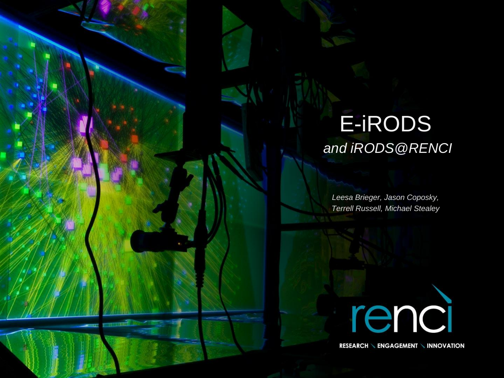#### E-iRODS *and iRODS@RENCI*

*Leesa Brieger, Jason Coposky, Terrell Russell, Michael Stealey*



**RESEARCH \ ENGAGEMENT \ INNOVATION**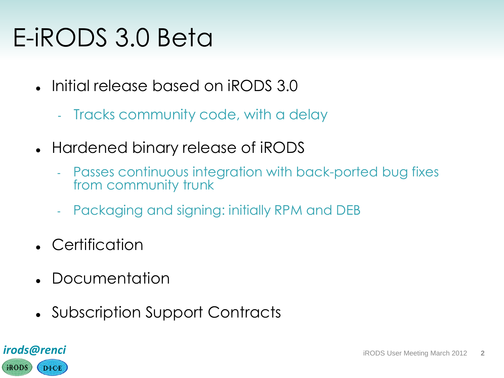### E-iRODS 3.0 Beta

- Initial release based on iRODS 3.0
	- Tracks community code, with a delay
- Hardened binary release of iRODS
	- Passes continuous integration with back-ported bug fixes from community trunk
	- Packaging and signing: initially RPM and DEB
- Certification
- **Documentation**
- Subscription Support Contracts

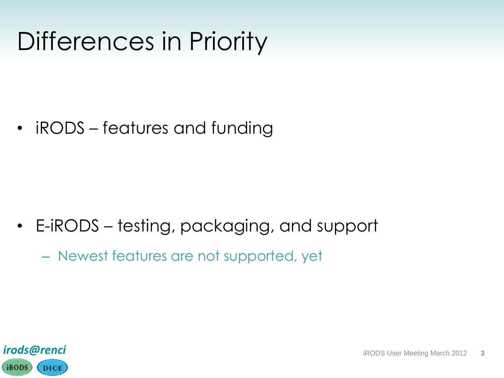### Differences in Priority

• iRODS – features and funding

- E-iRODS testing, packaging, and support
	- Newest features are not supported, yet

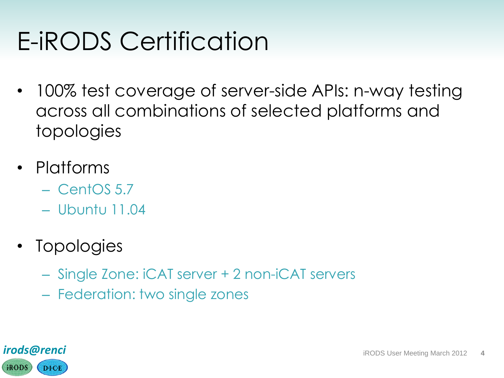# E-iRODS Certification

- 100% test coverage of server-side APIs: n-way testing across all combinations of selected platforms and topologies
- Platforms
	- CentOS 5.7
	- Ubuntu 11.04
- Topologies
	- Single Zone: iCAT server + 2 non-iCAT servers
	- Federation: two single zones

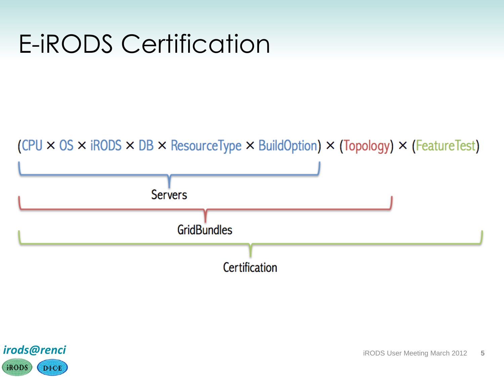### E-iRODS Certification





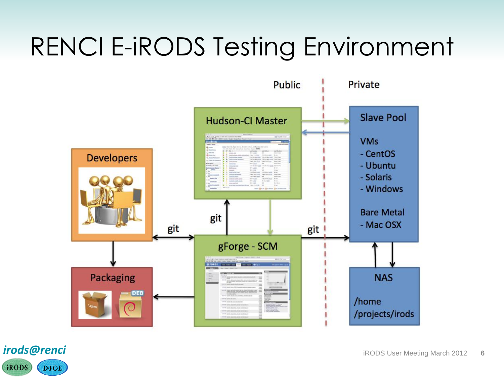# RENCI E-iRODS Testing Environment



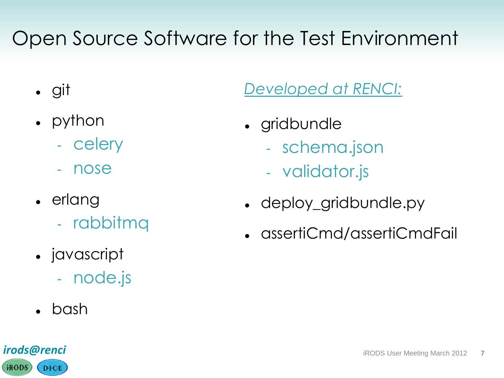#### Open Source Software for the Test Environment

- git
- python
	- celery
	- nose
- erlang
	- rabbitmq
- javascript
	- node.js
- bash

#### *Developed at RENCI:*

- gridbundle
	- schema.json
	- validator.js
- deploy\_gridbundle.py
- assertiCmd/assertiCmdFail

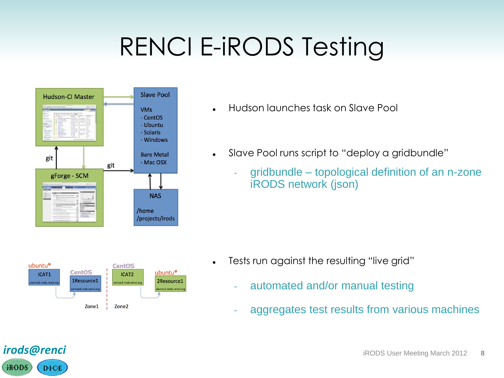# RENCI E-iRODS Testing



- Hudson launches task on Slave Pool
- Slave Pool runs script to "deploy a gridbundle"
	- gridbundle topological definition of an n-zone iRODS network (json)



- Tests run against the resulting "live grid"
	- automated and/or manual testing
	- aggregates test results from various machines

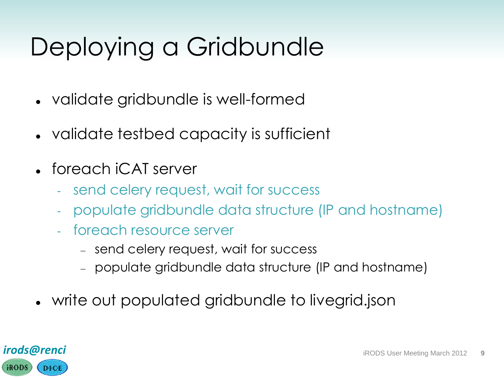# Deploying a Gridbundle

- validate gridbundle is well-formed
- validate testbed capacity is sufficient
- foreach iCAT server
	- send celery request, wait for success
	- populate gridbundle data structure (IP and hostname)
	- foreach resource server
		- send celery request, wait for success
		- populate gridbundle data structure (IP and hostname)
- write out populated gridbundle to livegrid.json

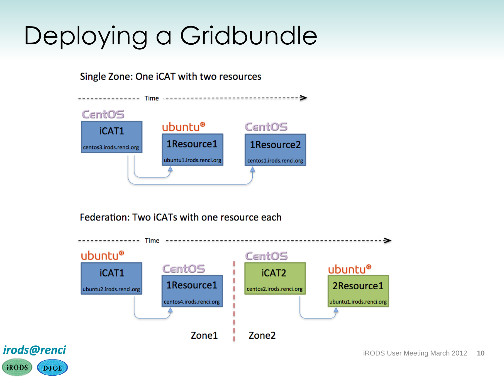# Deploying a Gridbundle

Single Zone: One iCAT with two resources



Federation: Two iCATs with one resource each



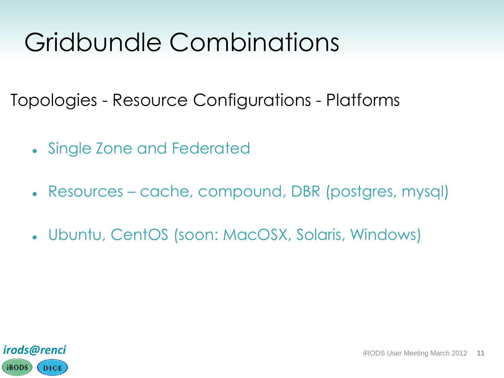### Gridbundle Combinations

Topologies - Resource Configurations - Platforms

- Single Zone and Federated
- Resources cache, compound, DBR (postgres, mysql)
- Ubuntu, CentOS (soon: MacOSX, Solaris, Windows)

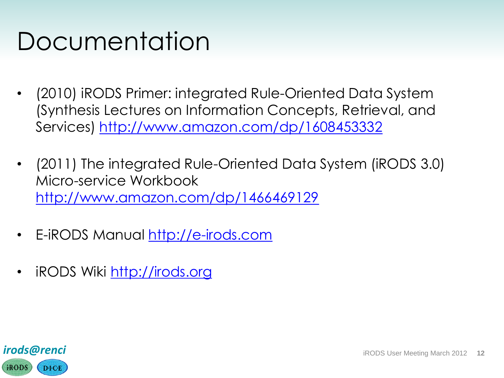#### Documentation

- (2010) iRODS Primer: integrated Rule-Oriented Data System (Synthesis Lectures on Information Concepts, Retrieval, and Services)<http://www.amazon.com/dp/1608453332>
- (2011) The integrated Rule-Oriented Data System (iRODS 3.0) Micro-service Workbook <http://www.amazon.com/dp/1466469129>
- E-iRODS Manual [http://e-irods.com](http://e-irods.com/)
- iRODS Wiki [http://irods.org](http://irods.org/)

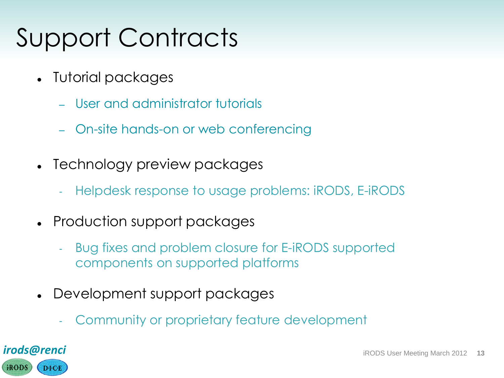# Support Contracts

- Tutorial packages
	- User and administrator tutorials
	- On-site hands-on or web conferencing
- Technology preview packages
	- Helpdesk response to usage problems: iRODS, E-iRODS
- Production support packages
	- Bug fixes and problem closure for E-iRODS supported components on supported platforms
- Development support packages
	- Community or proprietary feature development